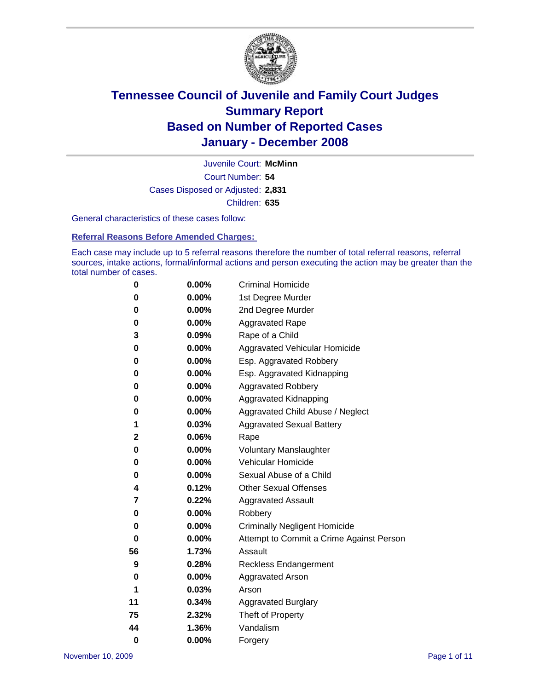

Court Number: **54** Juvenile Court: **McMinn** Cases Disposed or Adjusted: **2,831** Children: **635**

General characteristics of these cases follow:

**Referral Reasons Before Amended Charges:** 

Each case may include up to 5 referral reasons therefore the number of total referral reasons, referral sources, intake actions, formal/informal actions and person executing the action may be greater than the total number of cases.

| 0        | 0.00%    | <b>Criminal Homicide</b>                 |
|----------|----------|------------------------------------------|
| 0        | 0.00%    | 1st Degree Murder                        |
| 0        | 0.00%    | 2nd Degree Murder                        |
| 0        | 0.00%    | <b>Aggravated Rape</b>                   |
| 3        | 0.09%    | Rape of a Child                          |
| 0        | 0.00%    | Aggravated Vehicular Homicide            |
| 0        | 0.00%    | Esp. Aggravated Robbery                  |
| 0        | 0.00%    | Esp. Aggravated Kidnapping               |
| 0        | 0.00%    | <b>Aggravated Robbery</b>                |
| 0        | 0.00%    | Aggravated Kidnapping                    |
| 0        | 0.00%    | Aggravated Child Abuse / Neglect         |
| 1        | 0.03%    | <b>Aggravated Sexual Battery</b>         |
| 2        | 0.06%    | Rape                                     |
| 0        | 0.00%    | <b>Voluntary Manslaughter</b>            |
| 0        | 0.00%    | Vehicular Homicide                       |
| 0        | $0.00\%$ | Sexual Abuse of a Child                  |
| 4        | 0.12%    | <b>Other Sexual Offenses</b>             |
| 7        | 0.22%    | <b>Aggravated Assault</b>                |
| 0        | 0.00%    | Robbery                                  |
| 0        | $0.00\%$ | <b>Criminally Negligent Homicide</b>     |
| 0        | 0.00%    | Attempt to Commit a Crime Against Person |
| 56       | 1.73%    | Assault                                  |
| 9        | 0.28%    | <b>Reckless Endangerment</b>             |
| 0        | $0.00\%$ | <b>Aggravated Arson</b>                  |
| 1        | 0.03%    | Arson                                    |
| 11       | 0.34%    | <b>Aggravated Burglary</b>               |
| 75       | 2.32%    | Theft of Property                        |
| 44       | 1.36%    | Vandalism                                |
| $\bf{0}$ | 0.00%    | Forgery                                  |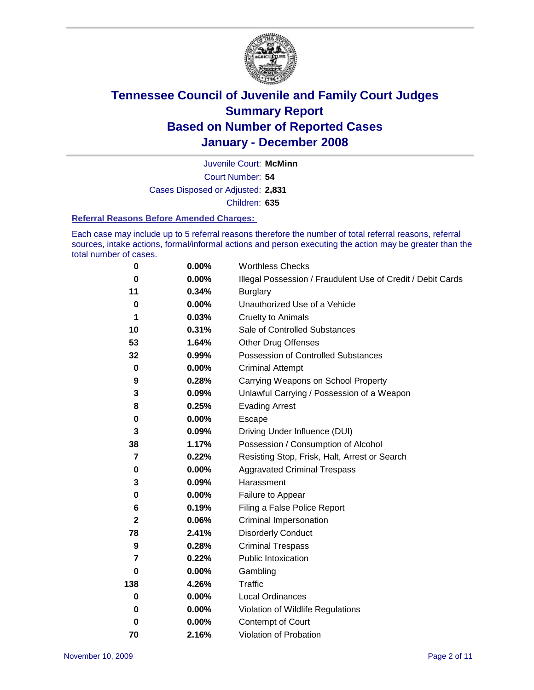

Court Number: **54** Juvenile Court: **McMinn** Cases Disposed or Adjusted: **2,831** Children: **635**

#### **Referral Reasons Before Amended Charges:**

Each case may include up to 5 referral reasons therefore the number of total referral reasons, referral sources, intake actions, formal/informal actions and person executing the action may be greater than the total number of cases.

| 0              | 0.00%    | <b>Worthless Checks</b>                                     |  |  |  |
|----------------|----------|-------------------------------------------------------------|--|--|--|
| 0              | 0.00%    | Illegal Possession / Fraudulent Use of Credit / Debit Cards |  |  |  |
| 11             | 0.34%    | <b>Burglary</b>                                             |  |  |  |
| 0              | $0.00\%$ | Unauthorized Use of a Vehicle                               |  |  |  |
| 1              | 0.03%    | <b>Cruelty to Animals</b>                                   |  |  |  |
| 10             | 0.31%    | Sale of Controlled Substances                               |  |  |  |
| 53             | 1.64%    | <b>Other Drug Offenses</b>                                  |  |  |  |
| 32             | 0.99%    | <b>Possession of Controlled Substances</b>                  |  |  |  |
| $\pmb{0}$      | $0.00\%$ | <b>Criminal Attempt</b>                                     |  |  |  |
| 9              | 0.28%    | Carrying Weapons on School Property                         |  |  |  |
| 3              | 0.09%    | Unlawful Carrying / Possession of a Weapon                  |  |  |  |
| 8              | 0.25%    | <b>Evading Arrest</b>                                       |  |  |  |
| 0              | 0.00%    | Escape                                                      |  |  |  |
| 3              | 0.09%    | Driving Under Influence (DUI)                               |  |  |  |
| 38             | 1.17%    | Possession / Consumption of Alcohol                         |  |  |  |
| $\overline{7}$ | 0.22%    | Resisting Stop, Frisk, Halt, Arrest or Search               |  |  |  |
| 0              | 0.00%    | <b>Aggravated Criminal Trespass</b>                         |  |  |  |
| 3              | 0.09%    | Harassment                                                  |  |  |  |
| 0              | 0.00%    | Failure to Appear                                           |  |  |  |
| 6              | 0.19%    | Filing a False Police Report                                |  |  |  |
| $\mathbf 2$    | 0.06%    | Criminal Impersonation                                      |  |  |  |
| 78             | 2.41%    | <b>Disorderly Conduct</b>                                   |  |  |  |
| 9              | 0.28%    | <b>Criminal Trespass</b>                                    |  |  |  |
| 7              | 0.22%    | Public Intoxication                                         |  |  |  |
| 0              | 0.00%    | Gambling                                                    |  |  |  |
| 138            | 4.26%    | Traffic                                                     |  |  |  |
| 0              | 0.00%    | Local Ordinances                                            |  |  |  |
| 0              | 0.00%    | Violation of Wildlife Regulations                           |  |  |  |
| 0              | 0.00%    | Contempt of Court                                           |  |  |  |
| 70             | 2.16%    | Violation of Probation                                      |  |  |  |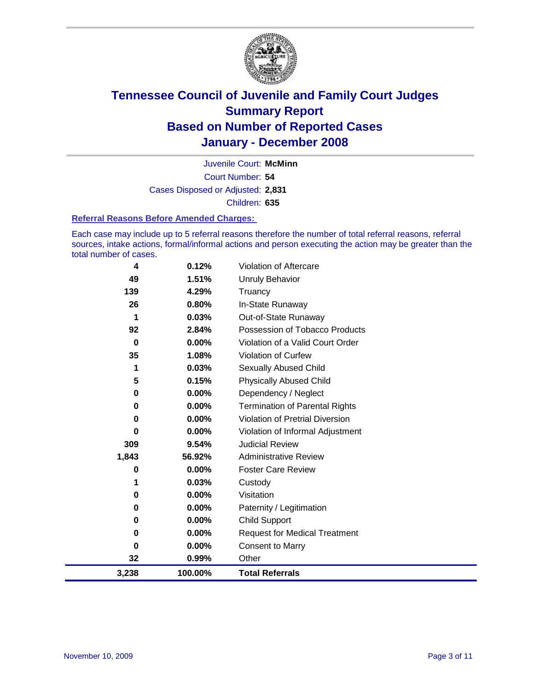

Court Number: **54** Juvenile Court: **McMinn** Cases Disposed or Adjusted: **2,831** Children: **635**

#### **Referral Reasons Before Amended Charges:**

Each case may include up to 5 referral reasons therefore the number of total referral reasons, referral sources, intake actions, formal/informal actions and person executing the action may be greater than the total number of cases.

| 4        | 0.12%   | Violation of Aftercare                |
|----------|---------|---------------------------------------|
| 49       | 1.51%   | Unruly Behavior                       |
| 139      | 4.29%   | Truancy                               |
| 26       | 0.80%   | In-State Runaway                      |
| 1        | 0.03%   | Out-of-State Runaway                  |
| 92       | 2.84%   | Possession of Tobacco Products        |
| 0        | 0.00%   | Violation of a Valid Court Order      |
| 35       | 1.08%   | Violation of Curfew                   |
| 1        | 0.03%   | <b>Sexually Abused Child</b>          |
| 5        | 0.15%   | <b>Physically Abused Child</b>        |
| 0        | 0.00%   | Dependency / Neglect                  |
| 0        | 0.00%   | <b>Termination of Parental Rights</b> |
| 0        | 0.00%   | Violation of Pretrial Diversion       |
| $\bf{0}$ | 0.00%   | Violation of Informal Adjustment      |
| 309      | 9.54%   | <b>Judicial Review</b>                |
| 1,843    | 56.92%  | <b>Administrative Review</b>          |
| 0        | 0.00%   | <b>Foster Care Review</b>             |
| 1        | 0.03%   | Custody                               |
| 0        | 0.00%   | Visitation                            |
| 0        | 0.00%   | Paternity / Legitimation              |
| 0        | 0.00%   | <b>Child Support</b>                  |
| $\bf{0}$ | 0.00%   | <b>Request for Medical Treatment</b>  |
| 0        | 0.00%   | <b>Consent to Marry</b>               |
| 32       | 0.99%   | Other                                 |
| 3,238    | 100.00% | <b>Total Referrals</b>                |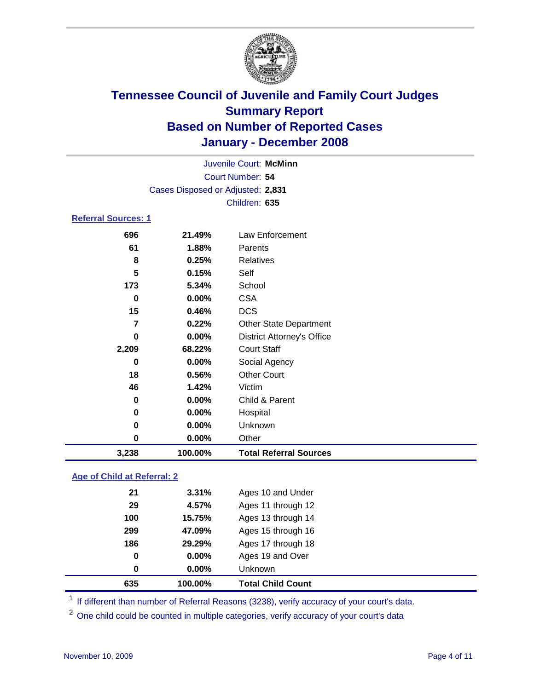

| Juvenile Court: McMinn            |  |
|-----------------------------------|--|
| Court Number: 54                  |  |
| Cases Disposed or Adjusted: 2,831 |  |
| Children: 635                     |  |

### **Referral Sources: 1**

| 3,238 | 100.00% | <b>Total Referral Sources</b>     |
|-------|---------|-----------------------------------|
| 0     | 0.00%   | Other                             |
| 0     | 0.00%   | Unknown                           |
| 0     | 0.00%   | Hospital                          |
| 0     | 0.00%   | Child & Parent                    |
| 46    | 1.42%   | Victim                            |
| 18    | 0.56%   | <b>Other Court</b>                |
| 0     | 0.00%   | Social Agency                     |
| 2,209 | 68.22%  | <b>Court Staff</b>                |
| 0     | 0.00%   | <b>District Attorney's Office</b> |
| 7     | 0.22%   | <b>Other State Department</b>     |
| 15    | 0.46%   | <b>DCS</b>                        |
| 0     | 0.00%   | <b>CSA</b>                        |
| 173   | 5.34%   | School                            |
| 5     | 0.15%   | Self                              |
| 8     | 0.25%   | Relatives                         |
| 61    | 1.88%   | Parents                           |
| 696   | 21.49%  | Law Enforcement                   |

### **Age of Child at Referral: 2**

| 635 | 100.00% | <b>Total Child Count</b> |
|-----|---------|--------------------------|
| 0   | 0.00%   | <b>Unknown</b>           |
| 0   | 0.00%   | Ages 19 and Over         |
| 186 | 29.29%  | Ages 17 through 18       |
| 299 | 47.09%  | Ages 15 through 16       |
| 100 | 15.75%  | Ages 13 through 14       |
| 29  | 4.57%   | Ages 11 through 12       |
| 21  | 3.31%   | Ages 10 and Under        |
|     |         |                          |

<sup>1</sup> If different than number of Referral Reasons (3238), verify accuracy of your court's data.

<sup>2</sup> One child could be counted in multiple categories, verify accuracy of your court's data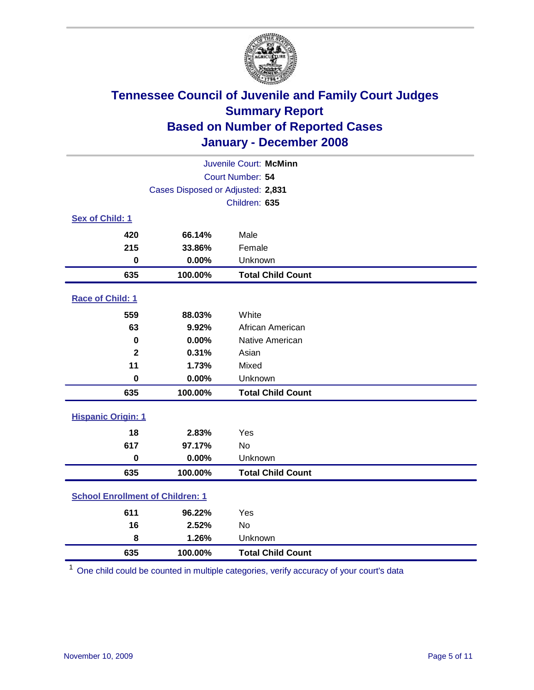

| Juvenile Court: McMinn                  |                                   |                          |  |  |  |
|-----------------------------------------|-----------------------------------|--------------------------|--|--|--|
| Court Number: 54                        |                                   |                          |  |  |  |
|                                         | Cases Disposed or Adjusted: 2,831 |                          |  |  |  |
|                                         |                                   | Children: 635            |  |  |  |
| Sex of Child: 1                         |                                   |                          |  |  |  |
| 420                                     | 66.14%                            | Male                     |  |  |  |
| 215                                     | 33.86%                            | Female                   |  |  |  |
| $\bf{0}$                                | 0.00%                             | Unknown                  |  |  |  |
| 635                                     | 100.00%                           | <b>Total Child Count</b> |  |  |  |
| Race of Child: 1                        |                                   |                          |  |  |  |
| 559                                     | 88.03%                            | White                    |  |  |  |
| 63                                      | 9.92%                             | African American         |  |  |  |
| 0                                       | 0.00%                             | Native American          |  |  |  |
| $\mathbf{2}$                            | 0.31%                             | Asian                    |  |  |  |
| 11                                      | 1.73%                             | Mixed                    |  |  |  |
| $\bf{0}$                                | 0.00%                             | Unknown                  |  |  |  |
| 635                                     | 100.00%                           | <b>Total Child Count</b> |  |  |  |
| <b>Hispanic Origin: 1</b>               |                                   |                          |  |  |  |
| 18                                      | 2.83%                             | Yes                      |  |  |  |
| 617                                     | 97.17%                            | <b>No</b>                |  |  |  |
| $\mathbf 0$                             | 0.00%                             | Unknown                  |  |  |  |
| 635                                     | 100.00%                           | <b>Total Child Count</b> |  |  |  |
| <b>School Enrollment of Children: 1</b> |                                   |                          |  |  |  |
| 611                                     | 96.22%                            | Yes                      |  |  |  |
| 16                                      | 2.52%                             | No                       |  |  |  |
| 8                                       | 1.26%                             | Unknown                  |  |  |  |
| 635                                     | 100.00%                           | <b>Total Child Count</b> |  |  |  |

One child could be counted in multiple categories, verify accuracy of your court's data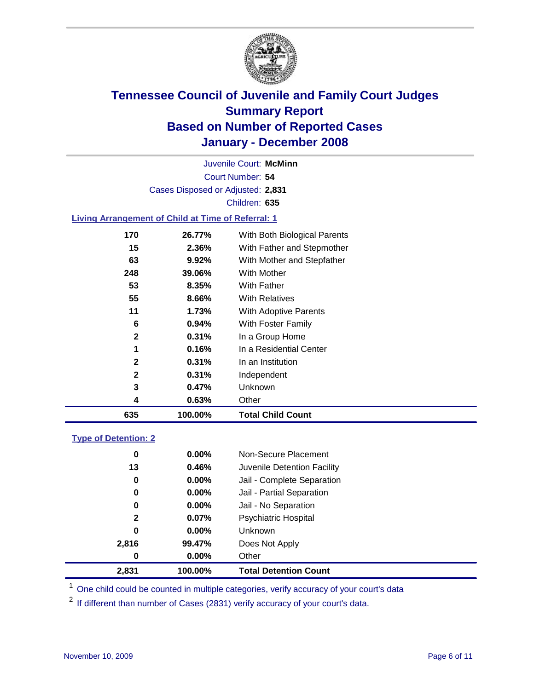

Court Number: **54** Juvenile Court: **McMinn** Cases Disposed or Adjusted: **2,831** Children: **635**

#### **Living Arrangement of Child at Time of Referral: 1**

| 635          | 100.00% | <b>Total Child Count</b>     |
|--------------|---------|------------------------------|
| 4            | 0.63%   | Other                        |
| 3            | 0.47%   | <b>Unknown</b>               |
| $\mathbf{2}$ | 0.31%   | Independent                  |
| $\mathbf{2}$ | 0.31%   | In an Institution            |
| 1            | 0.16%   | In a Residential Center      |
| $\mathbf{2}$ | 0.31%   | In a Group Home              |
| 6            | 0.94%   | With Foster Family           |
| 11           | 1.73%   | With Adoptive Parents        |
| 55           | 8.66%   | <b>With Relatives</b>        |
| 53           | 8.35%   | <b>With Father</b>           |
| 248          | 39.06%  | With Mother                  |
| 63           | 9.92%   | With Mother and Stepfather   |
| 15           | 2.36%   | With Father and Stepmother   |
| 170          | 26.77%  | With Both Biological Parents |
|              |         |                              |

#### **Type of Detention: 2**

| 2,831        | 100.00%  | <b>Total Detention Count</b> |
|--------------|----------|------------------------------|
| 0            | 0.00%    | Other                        |
| 2,816        | 99.47%   | Does Not Apply               |
| 0            | $0.00\%$ | Unknown                      |
| $\mathbf{2}$ | 0.07%    | <b>Psychiatric Hospital</b>  |
| 0            | 0.00%    | Jail - No Separation         |
| 0            | 0.00%    | Jail - Partial Separation    |
| 0            | $0.00\%$ | Jail - Complete Separation   |
| 13           | 0.46%    | Juvenile Detention Facility  |
| 0            | $0.00\%$ | Non-Secure Placement         |
|              |          |                              |

<sup>1</sup> One child could be counted in multiple categories, verify accuracy of your court's data

<sup>2</sup> If different than number of Cases (2831) verify accuracy of your court's data.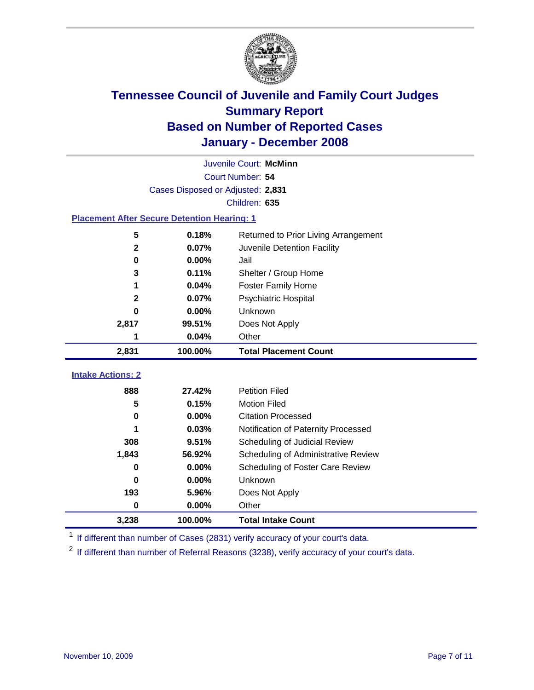

|                                                    | Juvenile Court: McMinn            |                                      |  |  |  |  |
|----------------------------------------------------|-----------------------------------|--------------------------------------|--|--|--|--|
|                                                    | Court Number: 54                  |                                      |  |  |  |  |
|                                                    | Cases Disposed or Adjusted: 2,831 |                                      |  |  |  |  |
|                                                    | Children: 635                     |                                      |  |  |  |  |
| <b>Placement After Secure Detention Hearing: 1</b> |                                   |                                      |  |  |  |  |
| 5                                                  | 0.18%                             | Returned to Prior Living Arrangement |  |  |  |  |
| $\mathbf 2$                                        | 0.07%                             | Juvenile Detention Facility          |  |  |  |  |
| $\bf{0}$                                           | 0.00%                             | Jail                                 |  |  |  |  |
| 3                                                  | 0.11%                             | Shelter / Group Home                 |  |  |  |  |
| 1                                                  | 0.04%                             | <b>Foster Family Home</b>            |  |  |  |  |
| $\mathbf 2$                                        | 0.07%                             | Psychiatric Hospital                 |  |  |  |  |
| $\bf{0}$                                           | 0.00%                             | Unknown                              |  |  |  |  |
| 2,817                                              | 99.51%                            | Does Not Apply                       |  |  |  |  |
| 1                                                  | 0.04%                             | Other                                |  |  |  |  |
| 2,831                                              | 100.00%                           | <b>Total Placement Count</b>         |  |  |  |  |
| <b>Intake Actions: 2</b>                           |                                   |                                      |  |  |  |  |
|                                                    |                                   |                                      |  |  |  |  |
| 888                                                | 27.42%                            | <b>Petition Filed</b>                |  |  |  |  |
| 5                                                  | 0.15%                             | <b>Motion Filed</b>                  |  |  |  |  |
| 0                                                  | 0.00%                             | <b>Citation Processed</b>            |  |  |  |  |
|                                                    | 0.03%                             | Notification of Paternity Processed  |  |  |  |  |
| 308                                                | 9.51%                             | Scheduling of Judicial Review        |  |  |  |  |
| 1,843                                              | 56.92%                            | Scheduling of Administrative Review  |  |  |  |  |
| 0                                                  | 0.00%                             | Scheduling of Foster Care Review     |  |  |  |  |
| 0                                                  | 0.00%                             | Unknown                              |  |  |  |  |
| 193                                                | 5.96%                             | Does Not Apply                       |  |  |  |  |
| $\mathbf 0$                                        | 0.00%                             | Other                                |  |  |  |  |
| 3,238                                              | 100.00%                           | <b>Total Intake Count</b>            |  |  |  |  |

<sup>1</sup> If different than number of Cases (2831) verify accuracy of your court's data.

<sup>2</sup> If different than number of Referral Reasons (3238), verify accuracy of your court's data.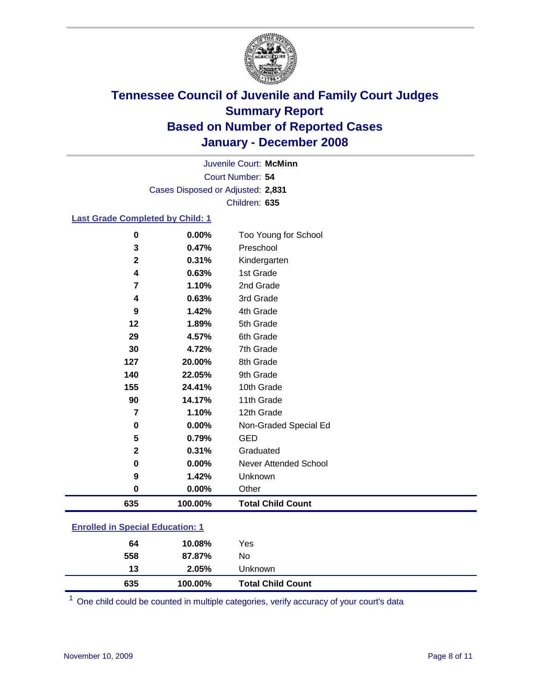

Court Number: **54** Juvenile Court: **McMinn** Cases Disposed or Adjusted: **2,831** Children: **635**

### **Last Grade Completed by Child: 1**

| 0                       | 0.00%   | Too Young for School     |
|-------------------------|---------|--------------------------|
| 3                       | 0.47%   | Preschool                |
| $\mathbf 2$             | 0.31%   | Kindergarten             |
| 4                       | 0.63%   | 1st Grade                |
| $\overline{\mathbf{r}}$ | 1.10%   | 2nd Grade                |
| 4                       | 0.63%   | 3rd Grade                |
| 9                       | 1.42%   | 4th Grade                |
| 12                      | 1.89%   | 5th Grade                |
| 29                      | 4.57%   | 6th Grade                |
| 30                      | 4.72%   | 7th Grade                |
| 127                     | 20.00%  | 8th Grade                |
| 140                     | 22.05%  | 9th Grade                |
| 155                     | 24.41%  | 10th Grade               |
| 90                      | 14.17%  | 11th Grade               |
| 7                       | 1.10%   | 12th Grade               |
| 0                       | 0.00%   | Non-Graded Special Ed    |
| 5                       | 0.79%   | <b>GED</b>               |
| $\mathbf 2$             | 0.31%   | Graduated                |
| 0                       | 0.00%   | Never Attended School    |
| 9                       | 1.42%   | Unknown                  |
| 0                       | 0.00%   | Other                    |
| 635                     | 100.00% | <b>Total Child Count</b> |

### **Enrolled in Special Education: 1**

| 64  | 10.08%  | Yes                      |
|-----|---------|--------------------------|
| 558 | 87.87%  | No                       |
| 13  | 2.05%   | Unknown                  |
| 635 | 100.00% | <b>Total Child Count</b> |

One child could be counted in multiple categories, verify accuracy of your court's data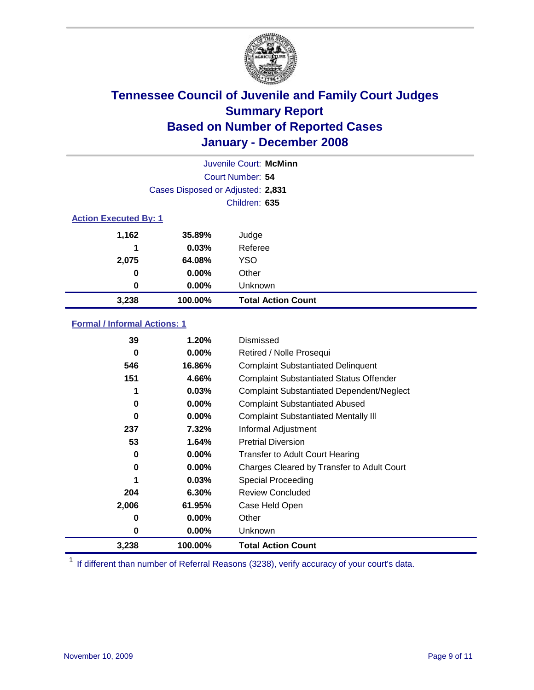

|                              |                                   | Juvenile Court: McMinn    |
|------------------------------|-----------------------------------|---------------------------|
|                              |                                   | Court Number: 54          |
|                              | Cases Disposed or Adjusted: 2,831 |                           |
|                              |                                   | Children: 635             |
| <b>Action Executed By: 1</b> |                                   |                           |
| 1,162                        | 35.89%                            | Judge                     |
| 1                            | 0.03%                             | Referee                   |
| 2,075                        | 64.08%                            | <b>YSO</b>                |
| 0                            | $0.00\%$                          | Other                     |
| 0                            | $0.00\%$                          | Unknown                   |
| 3,238                        | 100.00%                           | <b>Total Action Count</b> |

### **Formal / Informal Actions: 1**

| 39    | 1.20%    | Dismissed                                        |
|-------|----------|--------------------------------------------------|
| 0     | $0.00\%$ | Retired / Nolle Prosequi                         |
| 546   | 16.86%   | <b>Complaint Substantiated Delinquent</b>        |
| 151   | 4.66%    | <b>Complaint Substantiated Status Offender</b>   |
| 1     | 0.03%    | <b>Complaint Substantiated Dependent/Neglect</b> |
| 0     | $0.00\%$ | <b>Complaint Substantiated Abused</b>            |
| 0     | $0.00\%$ | <b>Complaint Substantiated Mentally III</b>      |
| 237   | 7.32%    | Informal Adjustment                              |
| 53    | 1.64%    | <b>Pretrial Diversion</b>                        |
| 0     | $0.00\%$ | <b>Transfer to Adult Court Hearing</b>           |
| 0     | $0.00\%$ | Charges Cleared by Transfer to Adult Court       |
|       | 0.03%    | Special Proceeding                               |
| 204   | 6.30%    | <b>Review Concluded</b>                          |
| 2,006 | 61.95%   | Case Held Open                                   |
| 0     | $0.00\%$ | Other                                            |
| 0     | $0.00\%$ | <b>Unknown</b>                                   |
| 3,238 | 100.00%  | <b>Total Action Count</b>                        |

<sup>1</sup> If different than number of Referral Reasons (3238), verify accuracy of your court's data.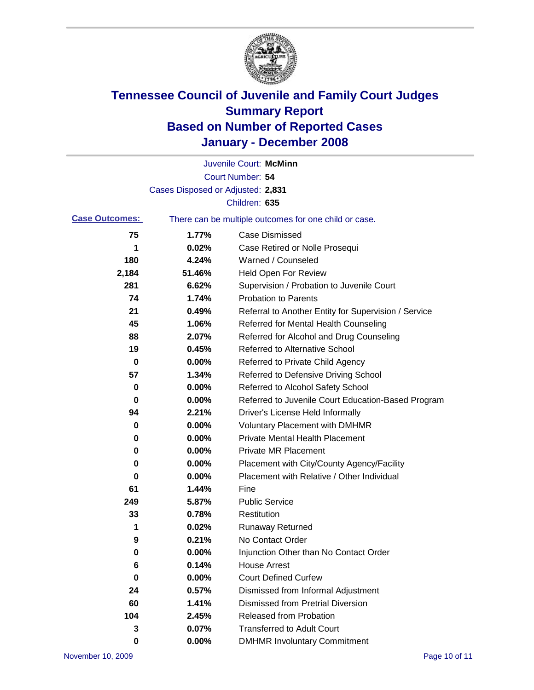

|                       |                                   | Juvenile Court: McMinn                                |
|-----------------------|-----------------------------------|-------------------------------------------------------|
|                       |                                   | Court Number: 54                                      |
|                       | Cases Disposed or Adjusted: 2,831 |                                                       |
|                       |                                   | Children: 635                                         |
| <b>Case Outcomes:</b> |                                   | There can be multiple outcomes for one child or case. |
| 75                    | 1.77%                             | Case Dismissed                                        |
| 1                     | 0.02%                             | Case Retired or Nolle Prosequi                        |
| 180                   | 4.24%                             | Warned / Counseled                                    |
| 2,184                 | 51.46%                            | <b>Held Open For Review</b>                           |
| 281                   | 6.62%                             | Supervision / Probation to Juvenile Court             |
| 74                    | 1.74%                             | <b>Probation to Parents</b>                           |
| 21                    | 0.49%                             | Referral to Another Entity for Supervision / Service  |
| 45                    | 1.06%                             | Referred for Mental Health Counseling                 |
| 88                    | 2.07%                             | Referred for Alcohol and Drug Counseling              |
| 19                    | 0.45%                             | Referred to Alternative School                        |
| 0                     | 0.00%                             | Referred to Private Child Agency                      |
| 57                    | 1.34%                             | Referred to Defensive Driving School                  |
| 0                     | 0.00%                             | Referred to Alcohol Safety School                     |
| 0                     | 0.00%                             | Referred to Juvenile Court Education-Based Program    |
| 94                    | 2.21%                             | Driver's License Held Informally                      |
| 0                     | 0.00%                             | <b>Voluntary Placement with DMHMR</b>                 |
| 0                     | 0.00%                             | <b>Private Mental Health Placement</b>                |
| 0                     | 0.00%                             | <b>Private MR Placement</b>                           |
| 0                     | 0.00%                             | Placement with City/County Agency/Facility            |
| 0                     | 0.00%                             | Placement with Relative / Other Individual            |
| 61                    | 1.44%                             | Fine                                                  |
| 249                   | 5.87%                             | <b>Public Service</b>                                 |
| 33                    | 0.78%                             | Restitution                                           |
| 1                     | 0.02%                             | <b>Runaway Returned</b>                               |
| 9                     | 0.21%                             | No Contact Order                                      |
| $\bf{0}$              | $0.00\%$                          | Injunction Other than No Contact Order                |
| 6                     | 0.14%                             | <b>House Arrest</b>                                   |
| 0                     | 0.00%                             | <b>Court Defined Curfew</b>                           |
| 24                    | 0.57%                             | Dismissed from Informal Adjustment                    |
| 60                    | 1.41%                             | <b>Dismissed from Pretrial Diversion</b>              |
| 104                   | 2.45%                             | <b>Released from Probation</b>                        |
| 3                     | 0.07%                             | <b>Transferred to Adult Court</b>                     |
| 0                     | $0.00\%$                          | <b>DMHMR Involuntary Commitment</b>                   |